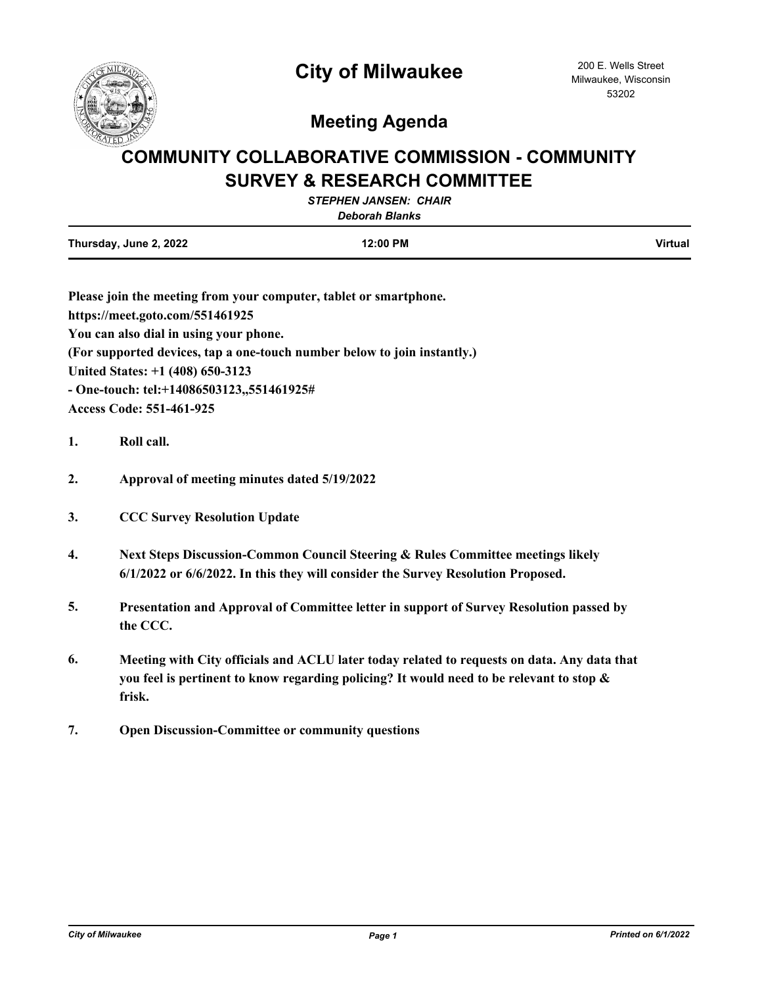

## **Meeting Agenda**

## **COMMUNITY COLLABORATIVE COMMISSION - COMMUNITY SURVEY & RESEARCH COMMITTEE**

|                        | <b>STEPHEN JANSEN: CHAIR</b><br><b>Deborah Blanks</b> |         |
|------------------------|-------------------------------------------------------|---------|
| Thursday, June 2, 2022 | 12:00 PM                                              | Virtual |

| Please join the meeting from your computer, tablet or smartphone.        |
|--------------------------------------------------------------------------|
| https://meet.goto.com/551461925                                          |
| You can also dial in using your phone.                                   |
| (For supported devices, tap a one-touch number below to join instantly.) |
| United States: +1 (408) 650-3123                                         |
| - One-touch: tel:+14086503123,,551461925#                                |
| <b>Access Code: 551-461-925</b>                                          |

- **1. Roll call.**
- **2. Approval of meeting minutes dated 5/19/2022**
- **3. CCC Survey Resolution Update**
- **4. Next Steps Discussion-Common Council Steering & Rules Committee meetings likely 6/1/2022 or 6/6/2022. In this they will consider the Survey Resolution Proposed.**
- **5. Presentation and Approval of Committee letter in support of Survey Resolution passed by the CCC.**
- **6. Meeting with City officials and ACLU later today related to requests on data. Any data that you feel is pertinent to know regarding policing? It would need to be relevant to stop & frisk.**
- **7. Open Discussion-Committee or community questions**